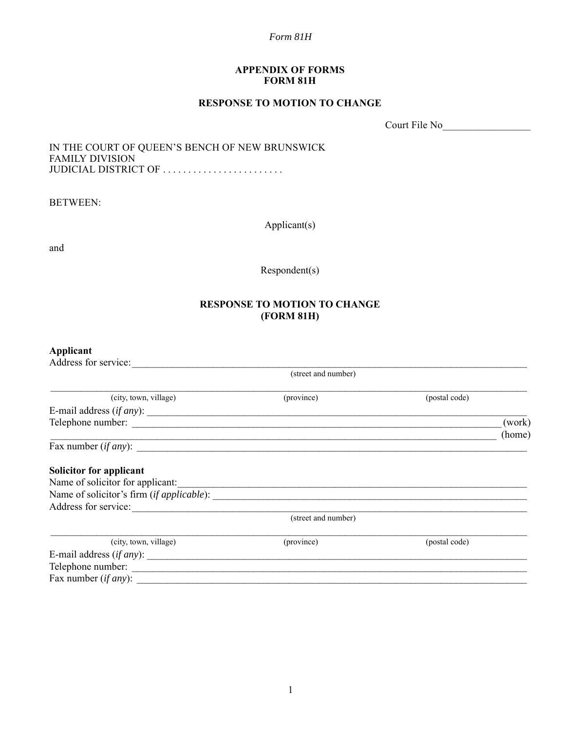#### **APPENDIX OF FORMS FORM 81H**

### **RESPONSE TO MOTION TO CHANGE**

Court File No\_\_\_\_\_\_\_\_\_\_\_\_\_\_\_\_\_

#### IN THE COURT OF QUEEN'S BENCH OF NEW BRUNSWICK FAMILY DIVISION JUDICIAL DISTRICT OF .........................

BETWEEN:

Applicant(s)

and

Respondent(s)

## **RESPONSE TO MOTION TO CHANGE (FORM 81H)**

# **Applicant**

| Address for service:             |                     |               |                  |
|----------------------------------|---------------------|---------------|------------------|
|                                  | (street and number) |               |                  |
| (city, town, village)            | (province)          | (postal code) |                  |
| E-mail address (if any):         |                     |               |                  |
| Telephone number:                |                     |               | (work)<br>(home) |
| Fax number $(if any)$ :          |                     |               |                  |
| Solicitor for applicant          |                     |               |                  |
| Name of solicitor for applicant: |                     |               |                  |
|                                  |                     |               |                  |
| Address for service:             |                     |               |                  |
|                                  | (street and number) |               |                  |
| (city, town, village)            | (province)          | (postal code) |                  |
|                                  |                     |               |                  |
| Telephone number:                |                     |               |                  |
| Fax number ( <i>if any</i> ):    |                     |               |                  |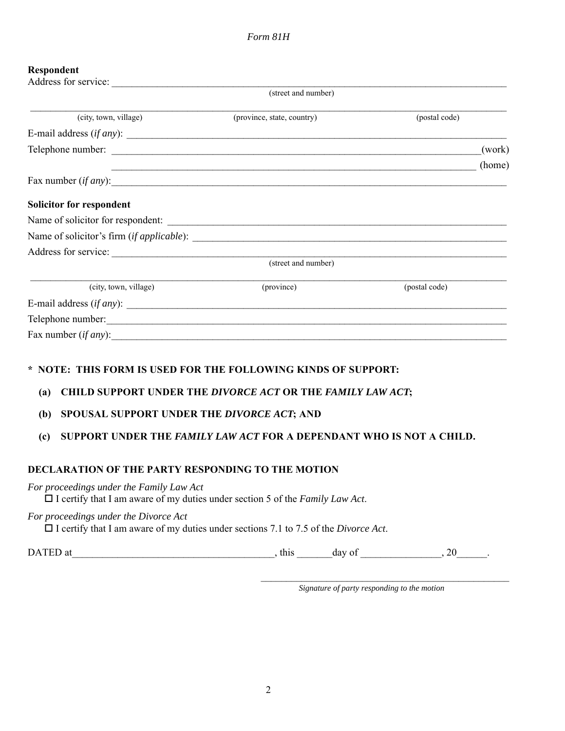### **Respondent**

| Address for service:        |                            |               |
|-----------------------------|----------------------------|---------------|
|                             | (street and number)        |               |
| (city, town, village)       | (province, state, country) | (postal code) |
|                             |                            |               |
|                             |                            | (work)        |
|                             |                            | (home)        |
| Fax number $(if any)$ :     |                            |               |
| Solicitor for respondent    |                            |               |
|                             |                            |               |
|                             |                            |               |
| Address for service:        |                            |               |
|                             | (street and number)        |               |
| (city, town, village)       | (province)                 | (postal code) |
| E-mail address $(if any)$ : |                            |               |
|                             |                            |               |
| Fax number $(if any)$ :     |                            |               |
|                             |                            |               |

## **\* NOTE: THIS FORM IS USED FOR THE FOLLOWING KINDS OF SUPPORT:**

## **(a) CHILD SUPPORT UNDER THE** *DIVORCE ACT* **OR THE** *FAMILY LAW ACT***;**

## **(b) SPOUSAL SUPPORT UNDER THE** *DIVORCE ACT***; AND**

# **(c) SUPPORT UNDER THE** *FAMILY LAW ACT* **FOR A DEPENDANT WHO IS NOT A CHILD.**

## **DECLARATION OF THE PARTY RESPONDING TO THE MOTION**

### *For proceedings under the Family Law Act*

I certify that I am aware of my duties under section 5 of the *Family Law Act*.

### *For proceedings under the Divorce Act*

I certify that I am aware of my duties under sections 7.1 to 7.5 of the *Divorce Act*.

DATED at  $\qquad \qquad$ , this  $\qquad \qquad$  day of  $\qquad \qquad$ , 20

*Signature of party responding to the motion*

 $\mathcal{L}_\text{max}$  and the contract of the contract of the contract of the contract of the contract of the contract of the contract of the contract of the contract of the contract of the contract of the contract of the contrac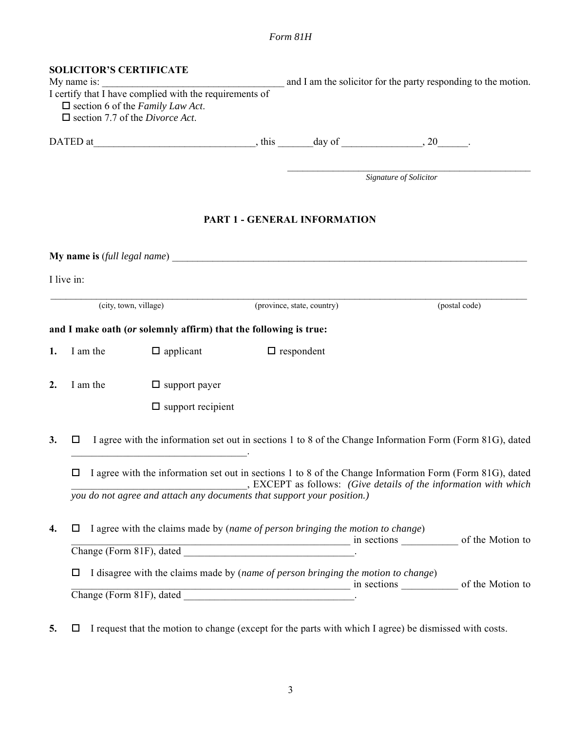|    | <b>SOLICITOR'S CERTIFICATE</b>                 |                                                                                                                                                                                                                                   |                                                                                           |                        |               |
|----|------------------------------------------------|-----------------------------------------------------------------------------------------------------------------------------------------------------------------------------------------------------------------------------------|-------------------------------------------------------------------------------------------|------------------------|---------------|
|    | My name is:                                    | <u>.</u><br>1980 - Paris Paris II, martxa eta batean eta batean eta batean eta batean eta batean eta batean eta batean eta<br>$\frac{1}{1}$ certify that $\frac{1}{1}$ have complied with the requirements of                     | and I am the solicitor for the party responding to the motion.                            |                        |               |
|    |                                                | $\Box$ section 6 of the Family Law Act.                                                                                                                                                                                           |                                                                                           |                        |               |
|    | $\Box$ section 7.7 of the <i>Divorce Act</i> . |                                                                                                                                                                                                                                   |                                                                                           |                        |               |
|    |                                                |                                                                                                                                                                                                                                   |                                                                                           |                        |               |
|    |                                                |                                                                                                                                                                                                                                   |                                                                                           |                        |               |
|    |                                                |                                                                                                                                                                                                                                   |                                                                                           | Signature of Solicitor |               |
|    |                                                |                                                                                                                                                                                                                                   |                                                                                           |                        |               |
|    |                                                |                                                                                                                                                                                                                                   | PART 1 - GENERAL INFORMATION                                                              |                        |               |
|    |                                                |                                                                                                                                                                                                                                   |                                                                                           |                        |               |
|    |                                                |                                                                                                                                                                                                                                   |                                                                                           |                        |               |
|    | I live in:                                     |                                                                                                                                                                                                                                   |                                                                                           |                        |               |
|    | (city, town, village)                          |                                                                                                                                                                                                                                   | (province, state, country)                                                                |                        | (postal code) |
|    |                                                | and I make oath (or solemnly affirm) that the following is true:                                                                                                                                                                  |                                                                                           |                        |               |
|    |                                                |                                                                                                                                                                                                                                   |                                                                                           |                        |               |
| 1. | I am the                                       | $\Box$ applicant                                                                                                                                                                                                                  | $\Box$ respondent                                                                         |                        |               |
| 2. | I am the                                       | $\Box$ support payer                                                                                                                                                                                                              |                                                                                           |                        |               |
|    |                                                | $\square$ support recipient                                                                                                                                                                                                       |                                                                                           |                        |               |
|    |                                                |                                                                                                                                                                                                                                   |                                                                                           |                        |               |
| 3. | ப                                              | I agree with the information set out in sections 1 to 8 of the Change Information Form (Form 81G), dated<br><u> 1989 - Johann Barn, mars and de Branch Barn, mars and de Branch Barn, mars and de Branch Barn, mars and de Br</u> |                                                                                           |                        |               |
|    | □                                              | I agree with the information set out in sections 1 to 8 of the Change Information Form (Form 81G), dated                                                                                                                          |                                                                                           |                        |               |
|    |                                                | you do not agree and attach any documents that support your position.)                                                                                                                                                            | $\overline{\phantom{a}}$ , EXCEPT as follows: (Give details of the information with which |                        |               |
|    |                                                |                                                                                                                                                                                                                                   |                                                                                           |                        |               |
| 4. | ப                                              | I agree with the claims made by (name of person bringing the motion to change)                                                                                                                                                    |                                                                                           |                        |               |
|    |                                                |                                                                                                                                                                                                                                   |                                                                                           |                        |               |
|    | □                                              | I disagree with the claims made by (name of person bringing the motion to change)                                                                                                                                                 |                                                                                           |                        |               |
|    |                                                |                                                                                                                                                                                                                                   |                                                                                           |                        |               |
|    |                                                |                                                                                                                                                                                                                                   |                                                                                           |                        |               |

**5.**  $\Box$  I request that the motion to change (except for the parts with which I agree) be dismissed with costs.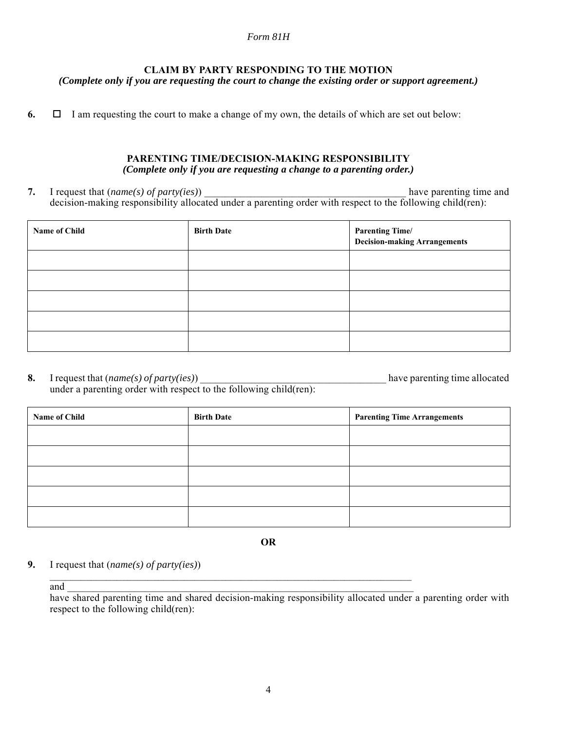## **CLAIM BY PARTY RESPONDING TO THE MOTION**

*(Complete only if you are requesting the court to change the existing order or support agreement.)*

**6.**  $\Box$  I am requesting the court to make a change of my own, the details of which are set out below:

### **PARENTING TIME/DECISION-MAKING RESPONSIBILITY** *(Complete only if you are requesting a change to a parenting order.)*

**7.** I request that (*name(s) of party(ies)*) have parenting time and decision-making responsibility allocated under a parenting order with respect to the following child(ren):

| Name of Child | <b>Birth Date</b> | <b>Parenting Time/</b><br><b>Decision-making Arrangements</b> |
|---------------|-------------------|---------------------------------------------------------------|
|               |                   |                                                               |
|               |                   |                                                               |
|               |                   |                                                               |
|               |                   |                                                               |
|               |                   |                                                               |

**8.** I request that (*name(s) of party(ies)*) \_\_\_\_\_\_\_\_\_\_\_\_\_\_\_\_\_\_\_\_\_\_\_\_\_\_\_\_\_\_\_\_\_\_\_\_ have parenting time allocated under a parenting order with respect to the following child(ren):

| Name of Child | <b>Birth Date</b> | <b>Parenting Time Arrangements</b> |
|---------------|-------------------|------------------------------------|
|               |                   |                                    |
|               |                   |                                    |
|               |                   |                                    |
|               |                   |                                    |
|               |                   |                                    |

**OR**

\_\_\_\_\_\_\_\_\_\_\_\_\_\_\_\_\_\_\_\_\_\_\_\_\_\_\_\_\_\_\_\_\_\_\_\_\_\_\_\_\_\_\_\_\_\_\_\_\_\_\_\_\_\_\_\_\_\_\_\_\_\_\_\_\_\_\_\_\_\_

**9.** I request that (*name(s) of party(ies)*)

and  $\frac{1}{\sqrt{2}}$ 

have shared parenting time and shared decision-making responsibility allocated under a parenting order with respect to the following child(ren):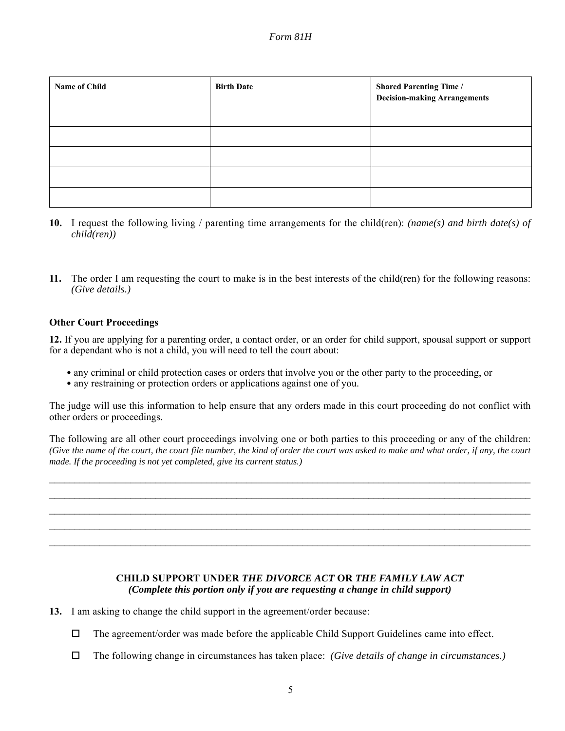| <b>Name of Child</b> | <b>Birth Date</b> | <b>Shared Parenting Time /</b><br><b>Decision-making Arrangements</b> |
|----------------------|-------------------|-----------------------------------------------------------------------|
|                      |                   |                                                                       |
|                      |                   |                                                                       |
|                      |                   |                                                                       |
|                      |                   |                                                                       |
|                      |                   |                                                                       |

- **10.** I request the following living / parenting time arrangements for the child(ren): *(name(s) and birth date(s) of child(ren))*
- **11.** The order I am requesting the court to make is in the best interests of the child(ren) for the following reasons: *(Give details.)*

### **Other Court Proceedings**

**12.** If you are applying for a parenting order, a contact order, or an order for child support, spousal support or support for a dependant who is not a child, you will need to tell the court about:

- any criminal or child protection cases or orders that involve you or the other party to the proceeding, or
- any restraining or protection orders or applications against one of you.

The judge will use this information to help ensure that any orders made in this court proceeding do not conflict with other orders or proceedings.

The following are all other court proceedings involving one or both parties to this proceeding or any of the children: *(Give the name of the court, the court file number, the kind of order the court was asked to make and what order, if any, the court made. If the proceeding is not yet completed, give its current status.)*

 $\mathcal{L}_\mathcal{L} = \mathcal{L}_\mathcal{L} = \mathcal{L}_\mathcal{L} = \mathcal{L}_\mathcal{L} = \mathcal{L}_\mathcal{L} = \mathcal{L}_\mathcal{L} = \mathcal{L}_\mathcal{L} = \mathcal{L}_\mathcal{L} = \mathcal{L}_\mathcal{L} = \mathcal{L}_\mathcal{L} = \mathcal{L}_\mathcal{L} = \mathcal{L}_\mathcal{L} = \mathcal{L}_\mathcal{L} = \mathcal{L}_\mathcal{L} = \mathcal{L}_\mathcal{L} = \mathcal{L}_\mathcal{L} = \mathcal{L}_\mathcal{L}$  $\mathcal{L}_\mathcal{L} = \mathcal{L}_\mathcal{L} = \mathcal{L}_\mathcal{L} = \mathcal{L}_\mathcal{L} = \mathcal{L}_\mathcal{L} = \mathcal{L}_\mathcal{L} = \mathcal{L}_\mathcal{L} = \mathcal{L}_\mathcal{L} = \mathcal{L}_\mathcal{L} = \mathcal{L}_\mathcal{L} = \mathcal{L}_\mathcal{L} = \mathcal{L}_\mathcal{L} = \mathcal{L}_\mathcal{L} = \mathcal{L}_\mathcal{L} = \mathcal{L}_\mathcal{L} = \mathcal{L}_\mathcal{L} = \mathcal{L}_\mathcal{L}$  $\mathcal{L}_\mathcal{L} = \mathcal{L}_\mathcal{L} = \mathcal{L}_\mathcal{L} = \mathcal{L}_\mathcal{L} = \mathcal{L}_\mathcal{L} = \mathcal{L}_\mathcal{L} = \mathcal{L}_\mathcal{L} = \mathcal{L}_\mathcal{L} = \mathcal{L}_\mathcal{L} = \mathcal{L}_\mathcal{L} = \mathcal{L}_\mathcal{L} = \mathcal{L}_\mathcal{L} = \mathcal{L}_\mathcal{L} = \mathcal{L}_\mathcal{L} = \mathcal{L}_\mathcal{L} = \mathcal{L}_\mathcal{L} = \mathcal{L}_\mathcal{L}$  $\mathcal{L}_\mathcal{L} = \mathcal{L}_\mathcal{L} = \mathcal{L}_\mathcal{L} = \mathcal{L}_\mathcal{L} = \mathcal{L}_\mathcal{L} = \mathcal{L}_\mathcal{L} = \mathcal{L}_\mathcal{L} = \mathcal{L}_\mathcal{L} = \mathcal{L}_\mathcal{L} = \mathcal{L}_\mathcal{L} = \mathcal{L}_\mathcal{L} = \mathcal{L}_\mathcal{L} = \mathcal{L}_\mathcal{L} = \mathcal{L}_\mathcal{L} = \mathcal{L}_\mathcal{L} = \mathcal{L}_\mathcal{L} = \mathcal{L}_\mathcal{L}$  $\mathcal{L}_\mathcal{L} = \mathcal{L}_\mathcal{L} = \mathcal{L}_\mathcal{L} = \mathcal{L}_\mathcal{L} = \mathcal{L}_\mathcal{L} = \mathcal{L}_\mathcal{L} = \mathcal{L}_\mathcal{L} = \mathcal{L}_\mathcal{L} = \mathcal{L}_\mathcal{L} = \mathcal{L}_\mathcal{L} = \mathcal{L}_\mathcal{L} = \mathcal{L}_\mathcal{L} = \mathcal{L}_\mathcal{L} = \mathcal{L}_\mathcal{L} = \mathcal{L}_\mathcal{L} = \mathcal{L}_\mathcal{L} = \mathcal{L}_\mathcal{L}$ 

### **CHILD SUPPORT UNDER** *THE DIVORCE ACT* **OR** *THE FAMILY LAW ACT (Complete this portion only if you are requesting a change in child support)*

- **13.** I am asking to change the child support in the agreement/order because:
	- $\Box$  The agreement/order was made before the applicable Child Support Guidelines came into effect.
	- The following change in circumstances has taken place: *(Give details of change in circumstances.)*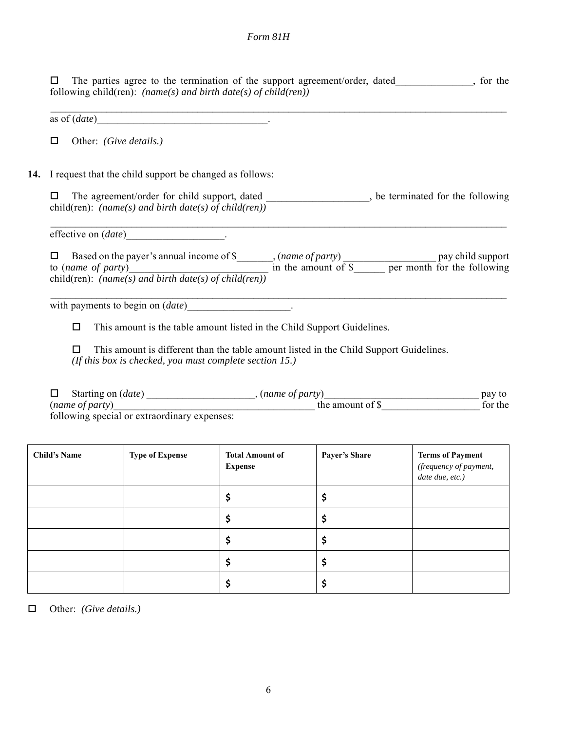$\Box$  The parties agree to the termination of the support agreement/order, dated, so the following child(ren): *(name(s) and birth date(s) of child(ren))*

 $\mathcal{L}_\mathcal{L} = \{ \mathcal{L}_\mathcal{L} = \{ \mathcal{L}_\mathcal{L} = \{ \mathcal{L}_\mathcal{L} = \{ \mathcal{L}_\mathcal{L} = \{ \mathcal{L}_\mathcal{L} = \{ \mathcal{L}_\mathcal{L} = \{ \mathcal{L}_\mathcal{L} = \{ \mathcal{L}_\mathcal{L} = \{ \mathcal{L}_\mathcal{L} = \{ \mathcal{L}_\mathcal{L} = \{ \mathcal{L}_\mathcal{L} = \{ \mathcal{L}_\mathcal{L} = \{ \mathcal{L}_\mathcal{L} = \{ \mathcal{L}_\mathcal{$ 

as of (*date*) example 2 and  $\theta$  and  $\theta$  and  $\theta$  and  $\theta$  are  $\theta$  and  $\theta$  are  $\theta$  and  $\theta$  are  $\theta$  and  $\theta$  are  $\theta$  and  $\theta$  are  $\theta$  and  $\theta$  are  $\theta$  and  $\theta$  are  $\theta$  and  $\theta$  are  $\theta$  and  $\theta$  are  $\theta$  and  $\theta$ 

Other: *(Give details.)*

**14.** I request that the child support be changed as follows:

 The agreement/order for child support, dated \_\_\_\_\_\_\_\_\_\_\_\_\_\_\_\_\_\_\_\_, be terminated for the following child(ren): *(name(s) and birth date(s) of child(ren))*

 $\mathcal{L}_\mathcal{L} = \{ \mathcal{L}_\mathcal{L} = \{ \mathcal{L}_\mathcal{L} = \{ \mathcal{L}_\mathcal{L} = \{ \mathcal{L}_\mathcal{L} = \{ \mathcal{L}_\mathcal{L} = \{ \mathcal{L}_\mathcal{L} = \{ \mathcal{L}_\mathcal{L} = \{ \mathcal{L}_\mathcal{L} = \{ \mathcal{L}_\mathcal{L} = \{ \mathcal{L}_\mathcal{L} = \{ \mathcal{L}_\mathcal{L} = \{ \mathcal{L}_\mathcal{L} = \{ \mathcal{L}_\mathcal{L} = \{ \mathcal{L}_\mathcal{$ 

effective on (*date*) .

□ Based on the payer's annual income of \$ , (*name of party*) pay child support to (*name of party*) and in the amount of \$ are per month for the following child(ren): *(name(s) and birth date(s) of child(ren))*

 $\mathcal{L}_\mathcal{L} = \mathcal{L}_\mathcal{L} = \mathcal{L}_\mathcal{L} = \mathcal{L}_\mathcal{L} = \mathcal{L}_\mathcal{L} = \mathcal{L}_\mathcal{L} = \mathcal{L}_\mathcal{L} = \mathcal{L}_\mathcal{L} = \mathcal{L}_\mathcal{L} = \mathcal{L}_\mathcal{L} = \mathcal{L}_\mathcal{L} = \mathcal{L}_\mathcal{L} = \mathcal{L}_\mathcal{L} = \mathcal{L}_\mathcal{L} = \mathcal{L}_\mathcal{L} = \mathcal{L}_\mathcal{L} = \mathcal{L}_\mathcal{L}$ 

with payments to begin on (*date*) example.

 $\Box$  This amount is the table amount listed in the Child Support Guidelines.

 $\Box$  This amount is different than the table amount listed in the Child Support Guidelines. *(If this box is checked, you must complete section 15.)*

 Starting on (*date*) \_\_\_\_\_\_\_\_\_\_\_\_\_\_\_\_\_\_\_\_\_, (*name of party*)\_\_\_\_\_\_\_\_\_\_\_\_\_\_\_\_\_\_\_\_\_\_\_\_\_\_\_\_\_\_ pay to (*name of party*) for the amount of \$ following special or extraordinary expenses:

| <b>Child's Name</b> | <b>Type of Expense</b> | <b>Total Amount of</b><br><b>Expense</b> | <b>Payer's Share</b> | <b>Terms of Payment</b><br>(frequency of payment,<br>date due, etc.) |
|---------------------|------------------------|------------------------------------------|----------------------|----------------------------------------------------------------------|
|                     |                        |                                          |                      |                                                                      |
|                     |                        |                                          |                      |                                                                      |
|                     |                        |                                          |                      |                                                                      |
|                     |                        |                                          |                      |                                                                      |
|                     |                        |                                          | ⊋                    |                                                                      |

Other: *(Give details.)*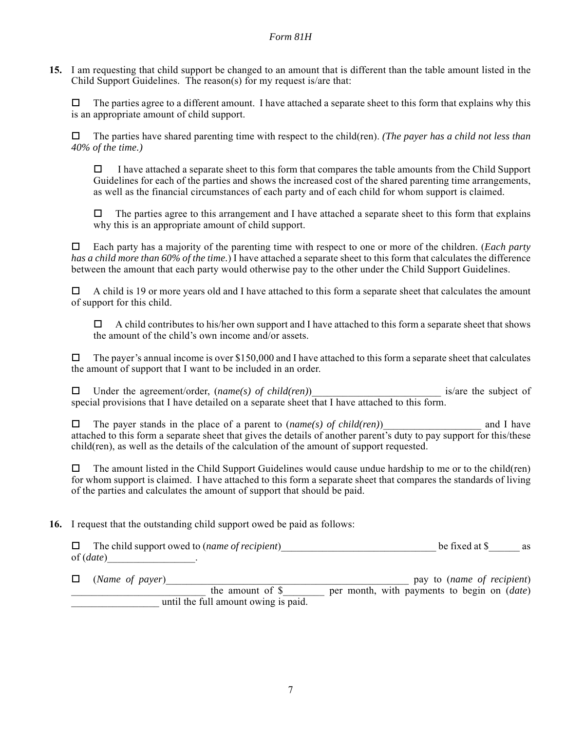**15.** I am requesting that child support be changed to an amount that is different than the table amount listed in the Child Support Guidelines. The reason(s) for my request is/are that:

 $\Box$  The parties agree to a different amount. I have attached a separate sheet to this form that explains why this is an appropriate amount of child support.

 The parties have shared parenting time with respect to the child(ren). *(The payer has a child not less than 40% of the time.)*

 $\Box$  I have attached a separate sheet to this form that compares the table amounts from the Child Support Guidelines for each of the parties and shows the increased cost of the shared parenting time arrangements, as well as the financial circumstances of each party and of each child for whom support is claimed.

 $\Box$  The parties agree to this arrangement and I have attached a separate sheet to this form that explains why this is an appropriate amount of child support.

 Each party has a majority of the parenting time with respect to one or more of the children. (*Each party has a child more than 60% of the time.*) I have attached a separate sheet to this form that calculates the difference between the amount that each party would otherwise pay to the other under the Child Support Guidelines.

 $\Box$  A child is 19 or more years old and I have attached to this form a separate sheet that calculates the amount of support for this child.

 $\Box$  A child contributes to his/her own support and I have attached to this form a separate sheet that shows the amount of the child's own income and/or assets.

 $\Box$  The payer's annual income is over \$150,000 and I have attached to this form a separate sheet that calculates the amount of support that I want to be included in an order.

□ Under the agreement/order, (*name(s)* of child(ren)) is/are the subject of special provisions that I have detailed on a separate sheet that I have attached to this form.

 $\Box$  The payer stands in the place of a parent to (*name(s) of child(ren)* and I have attached to this form a separate sheet that gives the details of another parent's duty to pay support for this/these child(ren), as well as the details of the calculation of the amount of support requested.

 $\Box$  The amount listed in the Child Support Guidelines would cause undue hardship to me or to the child(ren) for whom support is claimed. I have attached to this form a separate sheet that compares the standards of living of the parties and calculates the amount of support that should be paid.

### **16.** I request that the outstanding child support owed be paid as follows:

| $\Box$ The child support owed to ( <i>name of recipient</i> ) | be fixed at \$ | as |
|---------------------------------------------------------------|----------------|----|
| of $(data)$                                                   |                |    |

 (*Name of payer*)\_\_\_\_\_\_\_\_\_\_\_\_\_\_\_\_\_\_\_\_\_\_\_\_\_\_\_\_\_\_\_\_\_\_\_\_\_\_\_\_\_\_\_\_\_\_\_ pay to (*name of recipient*) the amount of \$ per month, with payments to begin on (*date*) until the full amount owing is paid.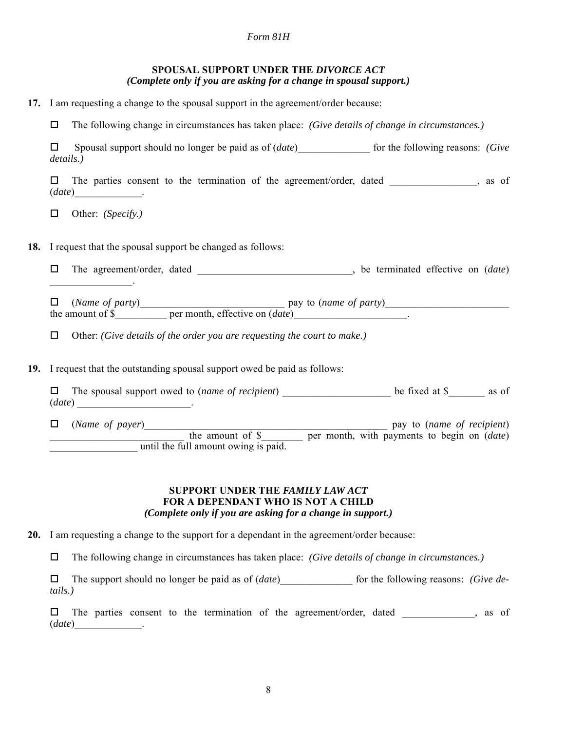|  | SPOUSAL SUPPORT UNDER THE DIVORCE ACT                              |  |  |
|--|--------------------------------------------------------------------|--|--|
|  | (Complete only if you are asking for a change in spousal support.) |  |  |

|  |  | 17. I am requesting a change to the spousal support in the agreement/order because: |  |
|--|--|-------------------------------------------------------------------------------------|--|
|  |  |                                                                                     |  |

The following change in circumstances has taken place: *(Give details of change in circumstances.)*

|           | Spousal support should no longer be paid as of <i>(date)</i>         | for the following reasons: (Give |       |
|-----------|----------------------------------------------------------------------|----------------------------------|-------|
| details.) |                                                                      |                                  |       |
|           | The parties consent to the termination of the agreement/order, dated |                                  | as of |
| (data)    |                                                                      |                                  |       |

Other: *(Specify.)*

**18.** I request that the spousal support be changed as follows:

 The agreement/order, dated \_\_\_\_\_\_\_\_\_\_\_\_\_\_\_\_\_\_\_\_\_\_\_\_\_\_\_\_\_\_, be terminated effective on (*date*)  $\mathcal{L}$ 

 $\Box$  (*Name of party*) pay to (*name of party*) the amount of \$ per month, effective on (*date*)

Other: *(Give details of the order you are requesting the court to make.)*

**19.** I request that the outstanding spousal support owed be paid as follows:

|        | $\Box$ The spousal support owed to ( <i>name of recipient</i> ) |  | be fixed at \$ | as of |
|--------|-----------------------------------------------------------------|--|----------------|-------|
| (data) |                                                                 |  |                |       |

 (*Name of payer*)\_\_\_\_\_\_\_\_\_\_\_\_\_\_\_\_\_\_\_\_\_\_\_\_\_\_\_\_\_\_\_\_\_\_\_\_\_\_\_\_\_\_\_\_\_\_\_ pay to (*name of recipient*) \_\_\_\_\_\_\_\_\_\_\_\_\_\_\_\_\_\_\_\_\_\_\_\_\_\_ the amount of \$\_\_\_\_\_\_\_\_ per month, with payments to begin on (*date*) until the full amount owing is paid.

### **SUPPORT UNDER THE** *FAMILY LAW ACT* **FOR A DEPENDANT WHO IS NOT A CHILD** *(Complete only if you are asking for a change in support.)*

**20.** I am requesting a change to the support for a dependant in the agreement/order because:

The following change in circumstances has taken place: *(Give details of change in circumstances.)*

 The support should no longer be paid as of (*date*)\_\_\_\_\_\_\_\_\_\_\_\_\_\_ for the following reasons: *(Give details.)*

 $\square$  The parties consent to the termination of the agreement/order, dated , as of (*date*)\_\_\_\_\_\_\_\_\_\_\_\_\_.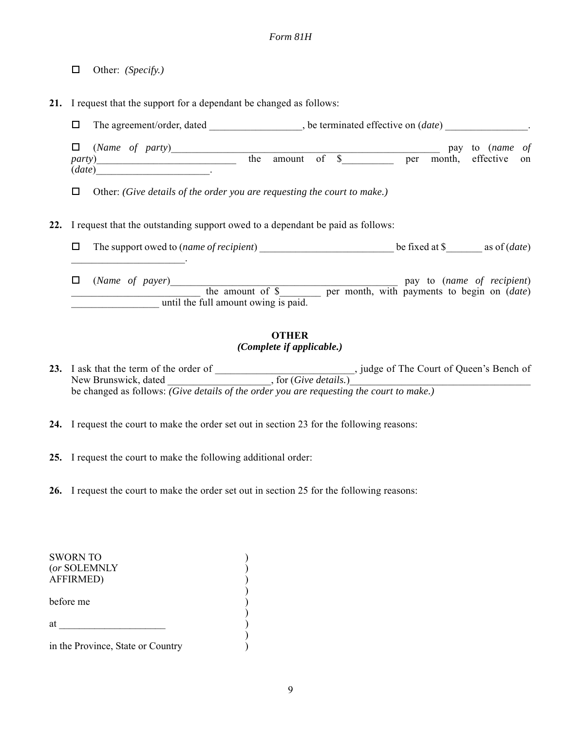Other: *(Specify.)*

**21.** I request that the support for a dependant be changed as follows:

The agreement/order, dated \_\_\_\_\_\_\_\_\_\_\_\_\_\_\_\_\_\_, be terminated effective on (*date*) \_\_\_\_\_\_\_\_\_\_\_\_\_\_\_\_.

| $\Box$ (Name of party) |     |        |      |     | pay to ( <i>name of</i> |  |
|------------------------|-----|--------|------|-----|-------------------------|--|
| <i>party</i> )         | the | amount | - of | per | month, effective on     |  |
| (data)                 |     |        |      |     |                         |  |

Other: *(Give details of the order you are requesting the court to make.)*

**22.** I request that the outstanding support owed to a dependant be paid as follows:

 The support owed to (*name of recipient*) \_\_\_\_\_\_\_\_\_\_\_\_\_\_\_\_\_\_\_\_\_\_\_\_\_\_ be fixed at \$\_\_\_\_\_\_\_ as of (*date*)  $\mathcal{L}_\text{max}$  and  $\mathcal{L}_\text{max}$  and  $\mathcal{L}_\text{max}$ 

 (*Name of payer*)\_\_\_\_\_\_\_\_\_\_\_\_\_\_\_\_\_\_\_\_\_\_\_\_\_\_\_\_\_\_\_\_\_\_\_\_\_\_\_\_\_\_\_\_ pay to (*name of recipient*) \_\_\_\_\_\_\_\_\_\_\_\_\_\_\_\_\_\_\_\_\_\_\_\_\_ the amount of \$\_\_\_\_\_\_\_\_ per month, with payments to begin on (*date*) until the full amount owing is paid.

## **OTHER** *(Complete if applicable.)*

23. I ask that the term of the order of **Example 23.** Judge of The Court of Queen's Bench of New Brunswick, dated  $\qquad \qquad$ , for (*Give details*.) be changed as follows: *(Give details of the order you are requesting the court to make.)*

**24.** I request the court to make the order set out in section 23 for the following reasons:

**25.** I request the court to make the following additional order:

**26.** I request the court to make the order set out in section 25 for the following reasons:

| <b>SWORN TO</b><br>(or SOLEMNLY<br><b>AFFIRMED)</b> |  |
|-----------------------------------------------------|--|
| before me                                           |  |
| at                                                  |  |
| in the Province, State or Country                   |  |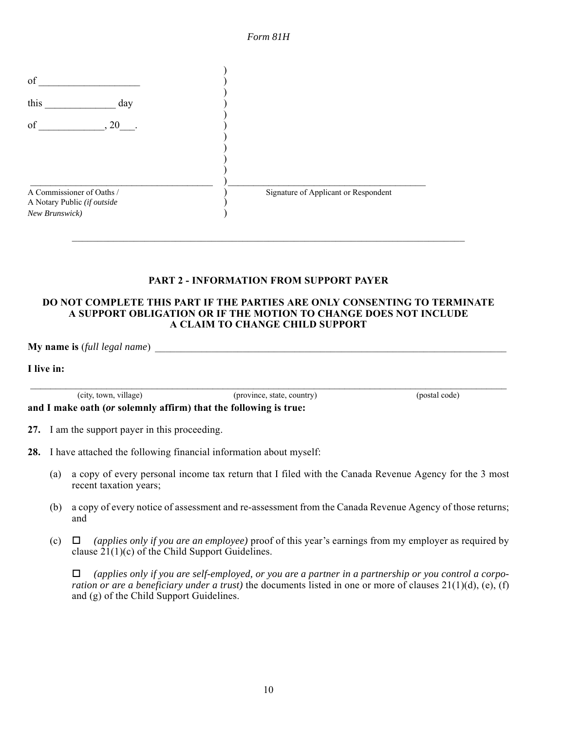



### **PART 2 - INFORMATION FROM SUPPORT PAYER**

### **DO NOT COMPLETE THIS PART IF THE PARTIES ARE ONLY CONSENTING TO TERMINATE A SUPPORT OBLIGATION OR IF THE MOTION TO CHANGE DOES NOT INCLUDE A CLAIM TO CHANGE CHILD SUPPORT**

 $Mv$  name is *(full legal name)* 

**I live in:**

(city, town, village) (province, state, country) (postal code)

**and I make oath (***or* **solemnly affirm) that the following is true:**

 $\mathcal{L}_\mathcal{L} = \{ \mathcal{L}_\mathcal{L} = \{ \mathcal{L}_\mathcal{L} = \{ \mathcal{L}_\mathcal{L} = \{ \mathcal{L}_\mathcal{L} = \{ \mathcal{L}_\mathcal{L} = \{ \mathcal{L}_\mathcal{L} = \{ \mathcal{L}_\mathcal{L} = \{ \mathcal{L}_\mathcal{L} = \{ \mathcal{L}_\mathcal{L} = \{ \mathcal{L}_\mathcal{L} = \{ \mathcal{L}_\mathcal{L} = \{ \mathcal{L}_\mathcal{L} = \{ \mathcal{L}_\mathcal{L} = \{ \mathcal{L}_\mathcal{$ 

**27.** I am the support payer in this proceeding.

- **28.** I have attached the following financial information about myself:
	- (a) a copy of every personal income tax return that I filed with the Canada Revenue Agency for the 3 most recent taxation years;
	- (b) a copy of every notice of assessment and re-assessment from the Canada Revenue Agency of those returns; and
	- (c) *(applies only if you are an employee)* proof of this year's earnings from my employer as required by clause 21(1)(c) of the Child Support Guidelines.

 *(applies only if you are self-employed, or you are a partner in a partnership or you control a corporation or are a beneficiary under a trust*) the documents listed in one or more of clauses 21(1)(d), (e), (f) and (g) of the Child Support Guidelines.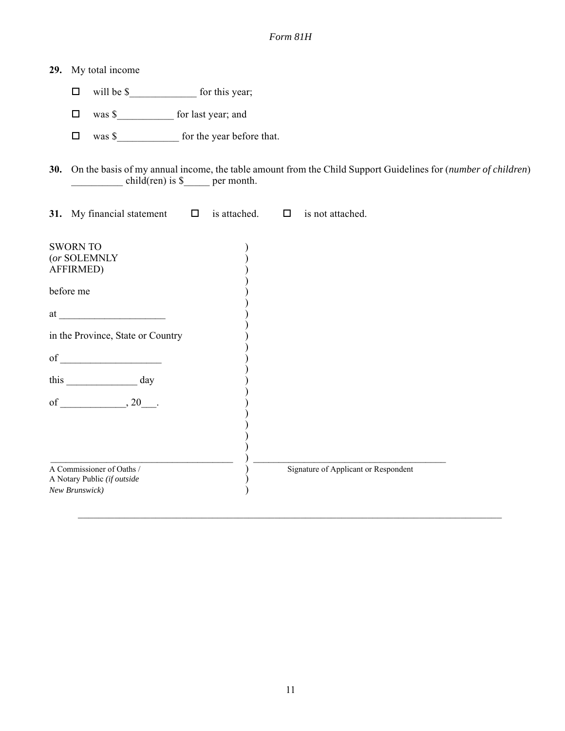| 29. | My total income                                                            |                               |        |                                                                                                                   |
|-----|----------------------------------------------------------------------------|-------------------------------|--------|-------------------------------------------------------------------------------------------------------------------|
|     | $\Box$                                                                     |                               |        |                                                                                                                   |
|     | was \$___________________ for last year; and<br>$\Box$                     |                               |        |                                                                                                                   |
|     | $\Box$                                                                     |                               |        |                                                                                                                   |
|     |                                                                            | $child(ren)$ is \$ per month. |        | 30. On the basis of my annual income, the table amount from the Child Support Guidelines for (number of children) |
|     | 31. My financial statement                                                 | $\Box$ is attached.           | $\Box$ | is not attached.                                                                                                  |
|     | <b>SWORN TO</b><br>(or SOLEMNLY<br>AFFIRMED)                               |                               |        |                                                                                                                   |
|     | before me                                                                  |                               |        |                                                                                                                   |
|     |                                                                            |                               |        |                                                                                                                   |
|     | in the Province, State or Country                                          |                               |        |                                                                                                                   |
|     |                                                                            |                               |        |                                                                                                                   |
|     |                                                                            |                               |        |                                                                                                                   |
|     |                                                                            |                               |        |                                                                                                                   |
|     |                                                                            |                               |        |                                                                                                                   |
|     | A Commissioner of Oaths /<br>A Notary Public (if outside<br>New Brunswick) |                               |        | Signature of Applicant or Respondent                                                                              |

 $\mathcal{L}_\mathcal{L} = \{ \mathcal{L}_\mathcal{L} = \{ \mathcal{L}_\mathcal{L} = \{ \mathcal{L}_\mathcal{L} = \{ \mathcal{L}_\mathcal{L} = \{ \mathcal{L}_\mathcal{L} = \{ \mathcal{L}_\mathcal{L} = \{ \mathcal{L}_\mathcal{L} = \{ \mathcal{L}_\mathcal{L} = \{ \mathcal{L}_\mathcal{L} = \{ \mathcal{L}_\mathcal{L} = \{ \mathcal{L}_\mathcal{L} = \{ \mathcal{L}_\mathcal{L} = \{ \mathcal{L}_\mathcal{L} = \{ \mathcal{L}_\mathcal{$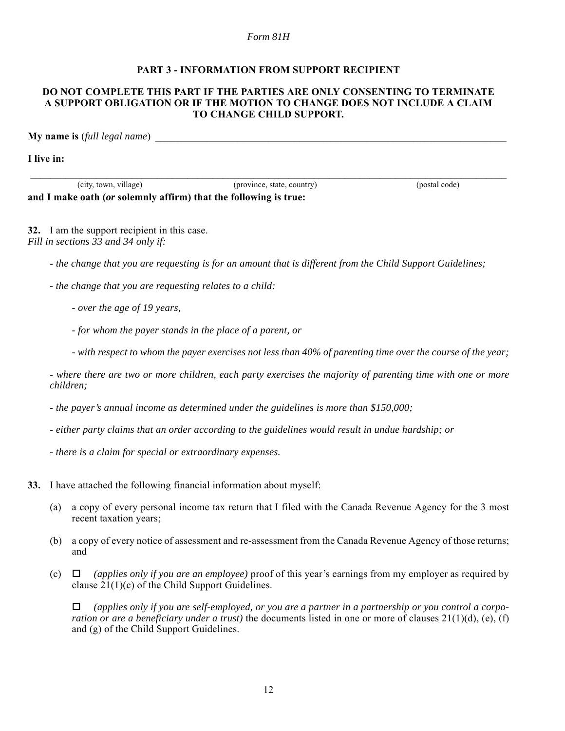#### **PART 3 - INFORMATION FROM SUPPORT RECIPIENT**

#### **DO NOT COMPLETE THIS PART IF THE PARTIES ARE ONLY CONSENTING TO TERMINATE A SUPPORT OBLIGATION OR IF THE MOTION TO CHANGE DOES NOT INCLUDE A CLAIM TO CHANGE CHILD SUPPORT.**

 $\mathcal{L}_\mathcal{L} = \{ \mathcal{L}_\mathcal{L} = \{ \mathcal{L}_\mathcal{L} = \{ \mathcal{L}_\mathcal{L} = \{ \mathcal{L}_\mathcal{L} = \{ \mathcal{L}_\mathcal{L} = \{ \mathcal{L}_\mathcal{L} = \{ \mathcal{L}_\mathcal{L} = \{ \mathcal{L}_\mathcal{L} = \{ \mathcal{L}_\mathcal{L} = \{ \mathcal{L}_\mathcal{L} = \{ \mathcal{L}_\mathcal{L} = \{ \mathcal{L}_\mathcal{L} = \{ \mathcal{L}_\mathcal{L} = \{ \mathcal{L}_\mathcal{$ 

**My name is** (*full legal name*)

**I live in:**

(city, town, village) (province, state, country) (postal code) **and I make oath (***or* **solemnly affirm) that the following is true:**

**32.** I am the support recipient in this case. *Fill in sections 33 and 34 only if:*

- *the change that you are requesting is for an amount that is different from the Child Support Guidelines;*

- *the change that you are requesting relates to a child:*
	- *over the age of 19 years,*
	- *for whom the payer stands in the place of a parent, or*
	- *with respect to whom the payer exercises not less than 40% of parenting time over the course of the year;*

*- where there are two or more children, each party exercises the majority of parenting time with one or more children;*

*- the payer's annual income as determined under the guidelines is more than \$150,000;*

*- either party claims that an order according to the guidelines would result in undue hardship; or*

- *there is a claim for special or extraordinary expenses.*
- **33.** I have attached the following financial information about myself:
	- (a) a copy of every personal income tax return that I filed with the Canada Revenue Agency for the 3 most recent taxation years;
	- (b) a copy of every notice of assessment and re-assessment from the Canada Revenue Agency of those returns; and
	- (c) *(applies only if you are an employee)* proof of this year's earnings from my employer as required by clause 21(1)(c) of the Child Support Guidelines.

 *(applies only if you are self-employed, or you are a partner in a partnership or you control a corporation or are a beneficiary under a trust*) the documents listed in one or more of clauses  $21(1)(d)$ , (e), (f) and (g) of the Child Support Guidelines.